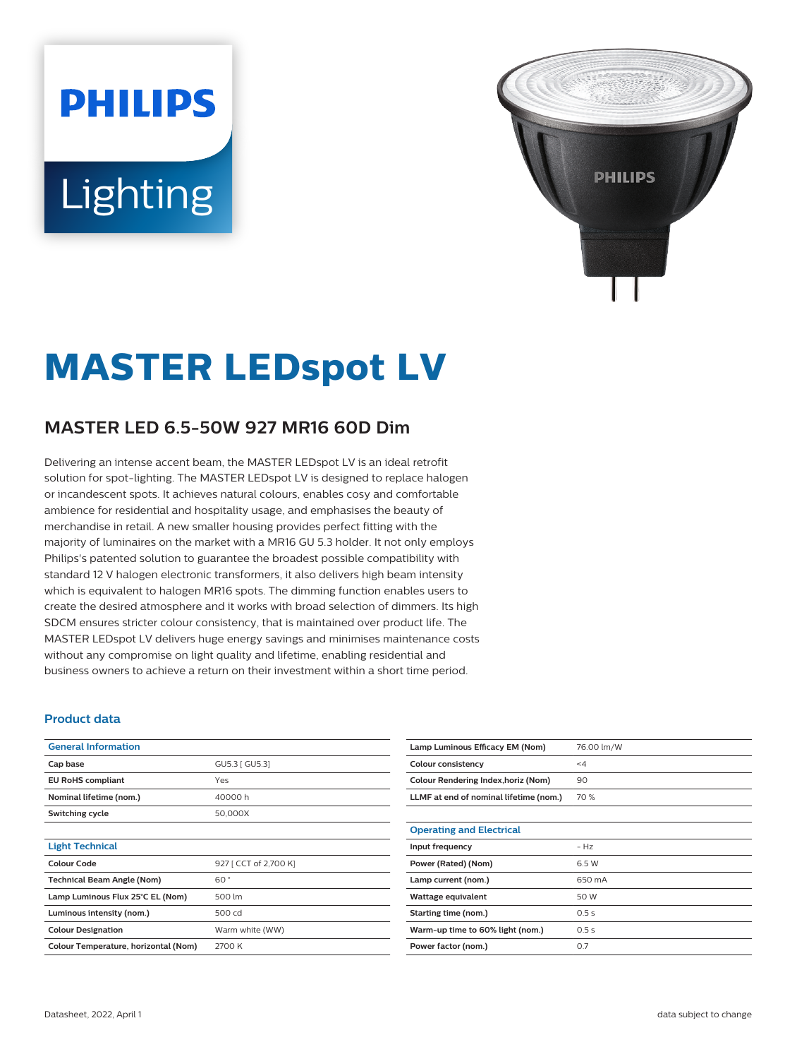# **PHILIPS** Lighting



# **MASTER LEDspot LV**

# **MASTER LED 6.5-50W 927 MR16 60D Dim**

Delivering an intense accent beam, the MASTER LEDspot LV is an ideal retrofit solution for spot-lighting. The MASTER LEDspot LV is designed to replace halogen or incandescent spots. It achieves natural colours, enables cosy and comfortable ambience for residential and hospitality usage, and emphasises the beauty of merchandise in retail. A new smaller housing provides perfect fitting with the majority of luminaires on the market with a MR16 GU 5.3 holder. It not only employs Philips's patented solution to guarantee the broadest possible compatibility with standard 12 V halogen electronic transformers, it also delivers high beam intensity which is equivalent to halogen MR16 spots. The dimming function enables users to create the desired atmosphere and it works with broad selection of dimmers. Its high SDCM ensures stricter colour consistency, that is maintained over product life. The MASTER LEDspot LV delivers huge energy savings and minimises maintenance costs without any compromise on light quality and lifetime, enabling residential and business owners to achieve a return on their investment within a short time period.

#### **Product data**

| <b>General Information</b>           |                       |  |
|--------------------------------------|-----------------------|--|
| Cap base                             | GU5.3   GU5.3         |  |
| <b>EU RoHS compliant</b>             | Yes                   |  |
| Nominal lifetime (nom.)              | 40000h                |  |
| Switching cycle                      | 50,000X               |  |
|                                      |                       |  |
| <b>Light Technical</b>               |                       |  |
| Colour Code                          | 927 [ CCT of 2,700 K] |  |
| <b>Technical Beam Angle (Nom)</b>    | 60°                   |  |
| Lamp Luminous Flux 25°C EL (Nom)     | 500 lm                |  |
| Luminous intensity (nom.)            | 500 cd                |  |
| <b>Colour Designation</b>            | Warm white (WW)       |  |
| Colour Temperature, horizontal (Nom) | 2700 K                |  |

| Lamp Luminous Efficacy EM (Nom)        | 76.00 lm/W |
|----------------------------------------|------------|
| <b>Colour consistency</b>              | $\leq 4$   |
| Colour Rendering Index, horiz (Nom)    | 90         |
| LLMF at end of nominal lifetime (nom.) | 70 %       |
|                                        |            |
| <b>Operating and Electrical</b>        |            |
| Input frequency                        | $- Hz$     |
| Power (Rated) (Nom)                    | 6.5 W      |
| Lamp current (nom.)                    | 650 mA     |
| Wattage equivalent                     | 50 W       |
| Starting time (nom.)                   | 0.5s       |
| Warm-up time to 60% light (nom.)       | 0.5s       |
| Power factor (nom.)                    | 0.7        |
|                                        |            |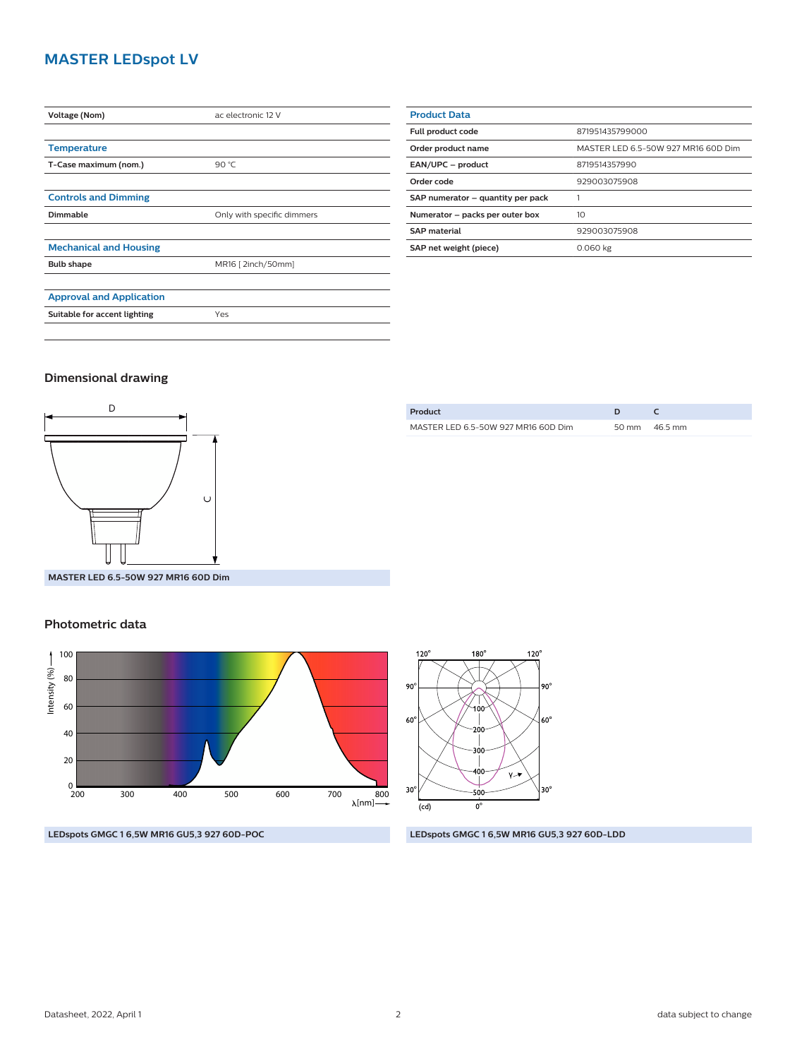## **MASTER LEDspot LV**

| Voltage (Nom)                   | ac electronic 12 V         |  |
|---------------------------------|----------------------------|--|
|                                 |                            |  |
| <b>Temperature</b>              |                            |  |
| T-Case maximum (nom.)           | 90 °C                      |  |
|                                 |                            |  |
| <b>Controls and Dimming</b>     |                            |  |
| Dimmable                        | Only with specific dimmers |  |
|                                 |                            |  |
| <b>Mechanical and Housing</b>   |                            |  |
| <b>Bulb shape</b>               | MR16 [2inch/50mm]          |  |
|                                 |                            |  |
| <b>Approval and Application</b> |                            |  |
| Suitable for accent lighting    | Yes                        |  |
|                                 |                            |  |

| <b>Product Data</b>               |                                     |  |
|-----------------------------------|-------------------------------------|--|
| Full product code                 | 871951435799000                     |  |
| Order product name                | MASTER LED 6.5-50W 927 MR16 60D Dim |  |
| EAN/UPC - product                 | 8719514357990                       |  |
| Order code                        | 929003075908                        |  |
| SAP numerator - quantity per pack |                                     |  |
| Numerator - packs per outer box   | 10                                  |  |
| <b>SAP material</b>               | 929003075908                        |  |
| SAP net weight (piece)            | 0.060 kg                            |  |

#### **Dimensional drawing**



| Product                             |                 |
|-------------------------------------|-----------------|
| MASTER LED 6.5-50W 927 MR16 60D Dim | 50 mm $46.5$ mm |
|                                     |                 |

**MASTER LED 6.5-50W 927 MR16 60D Dim**

#### **Photometric data**





**LEDspots GMGC 1 6,5W MR16 GU5,3 927 60D-POC LEDspots GMGC 1 6,5W MR16 GU5,3 927 60D-LDD**